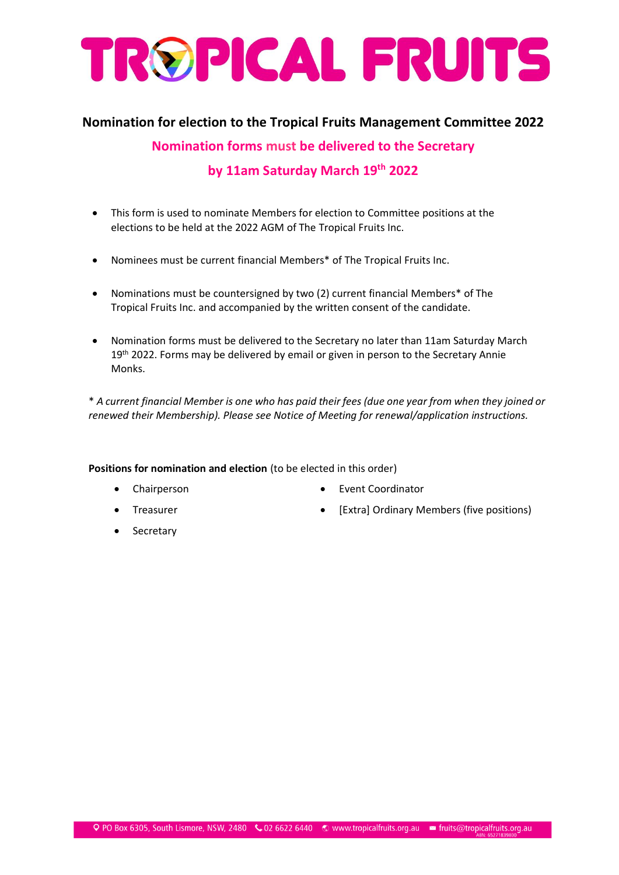## TROPICAL FRUITS

## **Nomination for election to the Tropical Fruits Management Committee 2022**

**Nomination forms must be delivered to the Secretary by 11am Saturday March 19th 2022**

- This form is used to nominate Members for election to Committee positions at the elections to be held at the 2022 AGM of The Tropical Fruits Inc.
- Nominees must be current financial Members\* of The Tropical Fruits Inc.
- Nominations must be countersigned by two (2) current financial Members\* of The Tropical Fruits Inc. and accompanied by the written consent of the candidate.
- Nomination forms must be delivered to the Secretary no later than 11am Saturday March 19<sup>th</sup> 2022. Forms may be delivered by email or given in person to the Secretary Annie Monks.

\* *A current financial Member is one who has paid their fees (due one year from when they joined or renewed their Membership). Please see Notice of Meeting for renewal/application instructions.*

**Positions for nomination and election** (to be elected in this order)

• Chairperson

• Event Coordinator

**Treasurer** 

[Extra] Ordinary Members (five positions)

**Secretary**